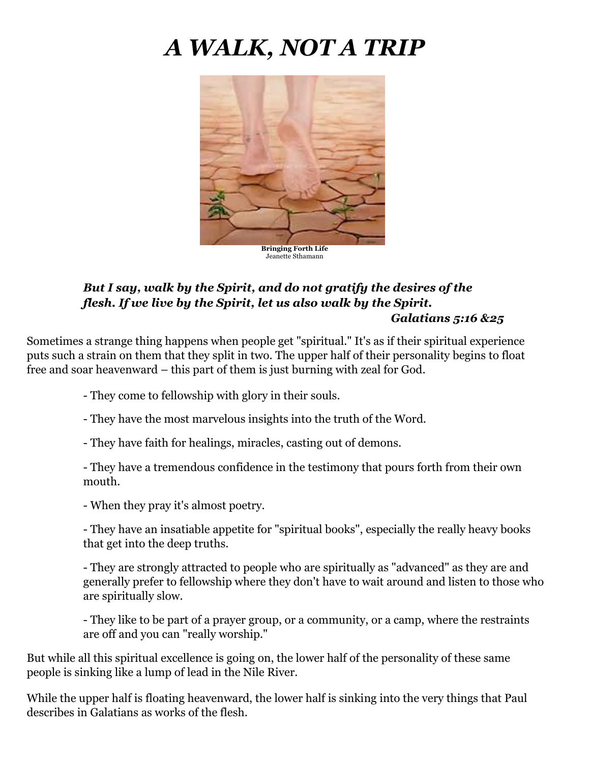# *A WALK, NOT A TRIP*



## *But I say, walk by the Spirit, and do not gratify the desires of the flesh. If we live by the Spirit, let us also walk by the Spirit. Galatians 5:16 &25*

Sometimes a strange thing happens when people get "spiritual." It's as if their spiritual experience puts such a strain on them that they split in two. The upper half of their personality begins to float free and soar heavenward – this part of them is just burning with zeal for God.

- They come to fellowship with glory in their souls.

- They have the most marvelous insights into the truth of the Word.

- They have faith for healings, miracles, casting out of demons.

- They have a tremendous confidence in the testimony that pours forth from their own mouth.

- When they pray it's almost poetry.

- They have an insatiable appetite for "spiritual books", especially the really heavy books that get into the deep truths.

- They are strongly attracted to people who are spiritually as "advanced" as they are and generally prefer to fellowship where they don't have to wait around and listen to those who are spiritually slow.

- They like to be part of a prayer group, or a community, or a camp, where the restraints are off and you can "really worship."

But while all this spiritual excellence is going on, the lower half of the personality of these same people is sinking like a lump of lead in the Nile River.

While the upper half is floating heavenward, the lower half is sinking into the very things that Paul describes in Galatians as works of the flesh.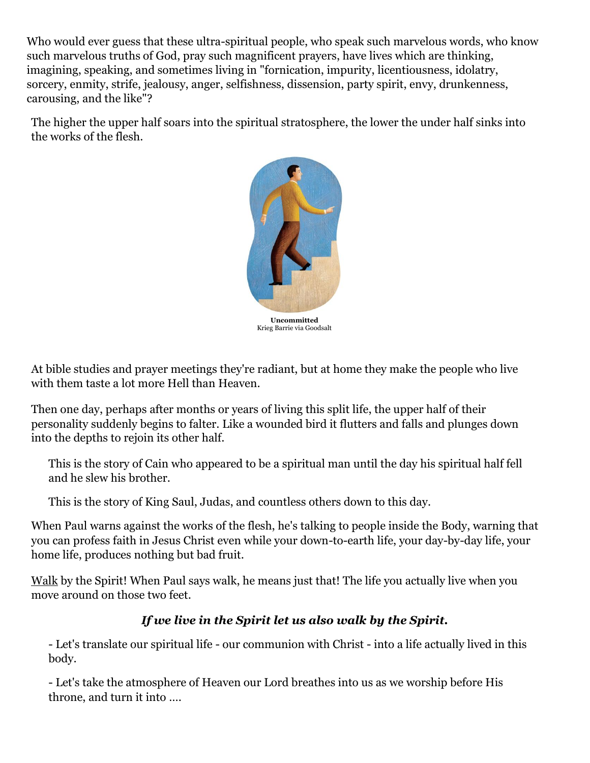Who would ever guess that these ultra-spiritual people, who speak such marvelous words, who know such marvelous truths of God, pray such magnificent prayers, have lives which are thinking, imagining, speaking, and sometimes living in "fornication, impurity, licentiousness, idolatry, sorcery, enmity, strife, jealousy, anger, selfishness, dissension, party spirit, envy, drunkenness, carousing, and the like"?

The higher the upper half soars into the spiritual stratosphere, the lower the under half sinks into the works of the flesh.



Krieg Barrie via Goodsalt

At bible studies and prayer meetings they're radiant, but at home they make the people who live with them taste a lot more Hell than Heaven.

Then one day, perhaps after months or years of living this split life, the upper half of their personality suddenly begins to falter. Like a wounded bird it flutters and falls and plunges down into the depths to rejoin its other half.

This is the story of Cain who appeared to be a spiritual man until the day his spiritual half fell and he slew his brother.

This is the story of King Saul, Judas, and countless others down to this day.

When Paul warns against the works of the flesh, he's talking to people inside the Body, warning that you can profess faith in Jesus Christ even while your down-to-earth life, your day-by-day life, your home life, produces nothing but bad fruit.

Walk by the Spirit! When Paul says walk, he means just that! The life you actually live when you move around on those two feet.

## *If we live in the Spirit let us also walk by the Spirit.*

- Let's translate our spiritual life - our communion with Christ - into a life actually lived in this body.

- Let's take the atmosphere of Heaven our Lord breathes into us as we worship before His throne, and turn it into ….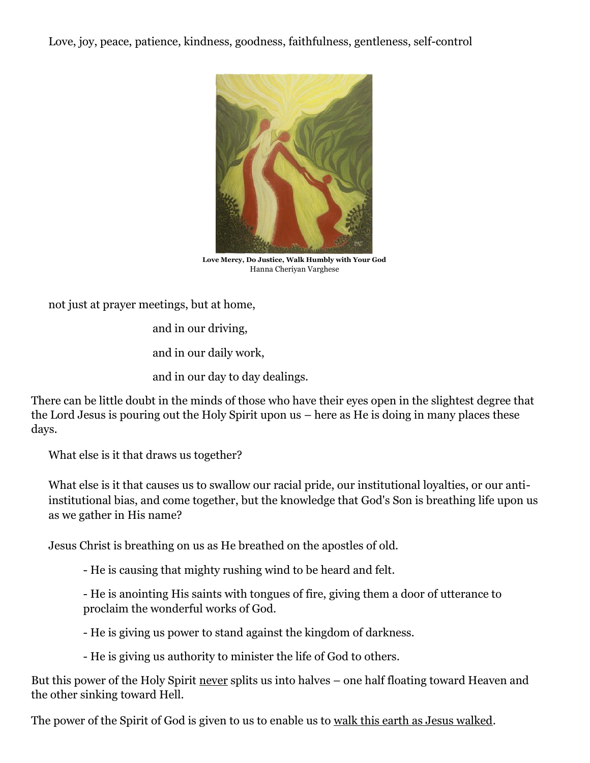Love, joy, peace, patience, kindness, goodness, faithfulness, gentleness, self-control



**Love Mercy, Do Justice, Walk Humbly with Your God** Hanna Cheriyan Varghese

not just at prayer meetings, but at home,

and in our driving,

and in our daily work,

and in our day to day dealings.

There can be little doubt in the minds of those who have their eyes open in the slightest degree that the Lord Jesus is pouring out the Holy Spirit upon us – here as He is doing in many places these days.

What else is it that draws us together?

What else is it that causes us to swallow our racial pride, our institutional loyalties, or our antiinstitutional bias, and come together, but the knowledge that God's Son is breathing life upon us as we gather in His name?

Jesus Christ is breathing on us as He breathed on the apostles of old.

- He is causing that mighty rushing wind to be heard and felt.

- He is anointing His saints with tongues of fire, giving them a door of utterance to proclaim the wonderful works of God.

- He is giving us power to stand against the kingdom of darkness.

- He is giving us authority to minister the life of God to others.

But this power of the Holy Spirit never splits us into halves – one half floating toward Heaven and the other sinking toward Hell.

The power of the Spirit of God is given to us to enable us to walk this earth as Jesus walked.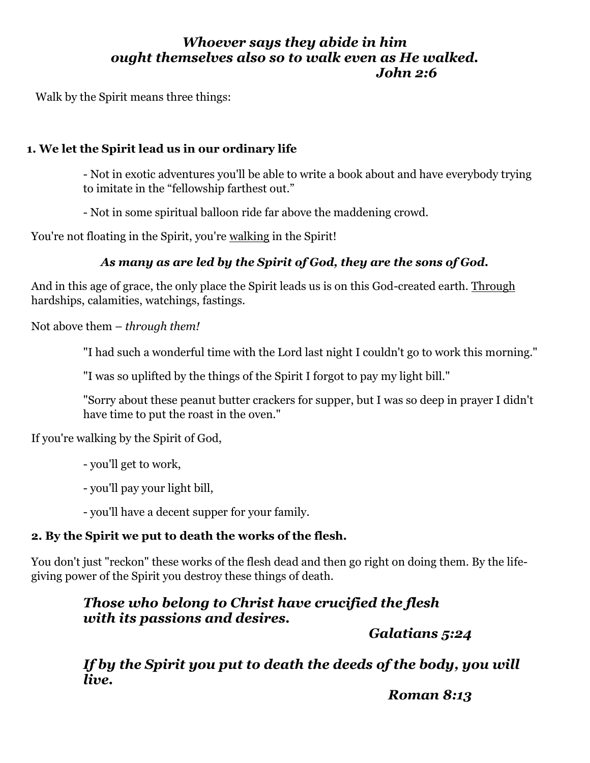## *Whoever says they abide in him ought themselves also so to walk even as He walked. John 2:6*

Walk by the Spirit means three things:

## **1. We let the Spirit lead us in our ordinary life**

- Not in exotic adventures you'll be able to write a book about and have everybody trying to imitate in the "fellowship farthest out."

- Not in some spiritual balloon ride far above the maddening crowd.

You're not floating in the Spirit, you're walking in the Spirit!

## *As many as are led by the Spirit of God, they are the sons of God.*

And in this age of grace, the only place the Spirit leads us is on this God-created earth. Through hardships, calamities, watchings, fastings.

Not above them – *through them!*

"I had such a wonderful time with the Lord last night I couldn't go to work this morning."

"I was so uplifted by the things of the Spirit I forgot to pay my light bill."

"Sorry about these peanut butter crackers for supper, but I was so deep in prayer I didn't have time to put the roast in the oven."

If you're walking by the Spirit of God,

- you'll get to work,

- you'll pay your light bill,

- you'll have a decent supper for your family.

## **2. By the Spirit we put to death the works of the flesh.**

You don't just "reckon" these works of the flesh dead and then go right on doing them. By the lifegiving power of the Spirit you destroy these things of death.

# *Those who belong to Christ have crucified the flesh with its passions and desires.*

*Galatians 5:24*

*If by the Spirit you put to death the deeds of the body, you will live.* 

*Roman 8:13*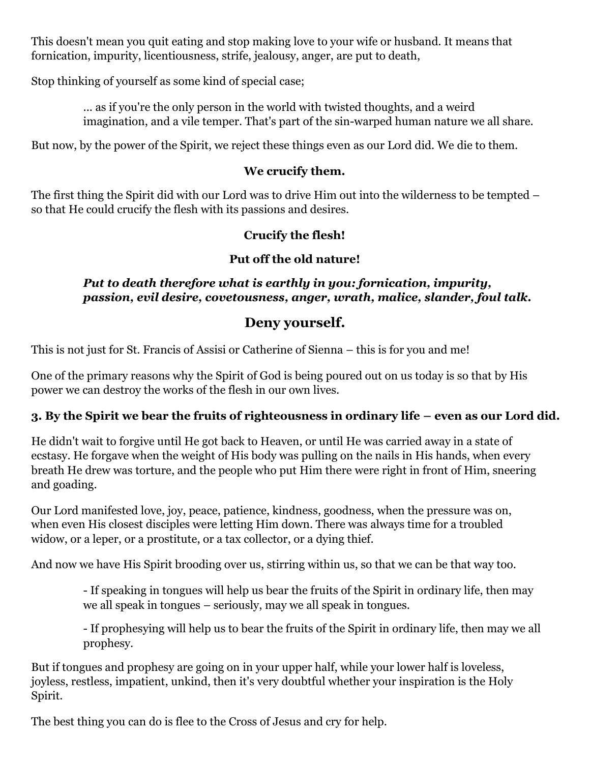This doesn't mean you quit eating and stop making love to your wife or husband. It means that fornication, impurity, licentiousness, strife, jealousy, anger, are put to death,

Stop thinking of yourself as some kind of special case;

... as if you're the only person in the world with twisted thoughts, and a weird imagination, and a vile temper. That's part of the sin-warped human nature we all share.

But now, by the power of the Spirit, we reject these things even as our Lord did. We die to them.

#### **We crucify them.**

The first thing the Spirit did with our Lord was to drive Him out into the wilderness to be tempted – so that He could crucify the flesh with its passions and desires.

#### **Crucify the flesh!**

## **Put off the old nature!**

#### *Put to death therefore what is earthly in you: fornication, impurity, passion, evil desire, covetousness, anger, wrath, malice, slander, foul talk.*

# **Deny yourself.**

This is not just for St. Francis of Assisi or Catherine of Sienna – this is for you and me!

One of the primary reasons why the Spirit of God is being poured out on us today is so that by His power we can destroy the works of the flesh in our own lives.

## **3. By the Spirit we bear the fruits of righteousness in ordinary life – even as our Lord did.**

He didn't wait to forgive until He got back to Heaven, or until He was carried away in a state of ecstasy. He forgave when the weight of His body was pulling on the nails in His hands, when every breath He drew was torture, and the people who put Him there were right in front of Him, sneering and goading.

Our Lord manifested love, joy, peace, patience, kindness, goodness, when the pressure was on, when even His closest disciples were letting Him down. There was always time for a troubled widow, or a leper, or a prostitute, or a tax collector, or a dying thief.

And now we have His Spirit brooding over us, stirring within us, so that we can be that way too.

- If speaking in tongues will help us bear the fruits of the Spirit in ordinary life, then may we all speak in tongues – seriously, may we all speak in tongues.

- If prophesying will help us to bear the fruits of the Spirit in ordinary life, then may we all prophesy.

But if tongues and prophesy are going on in your upper half, while your lower half is loveless, joyless, restless, impatient, unkind, then it's very doubtful whether your inspiration is the Holy Spirit.

The best thing you can do is flee to the Cross of Jesus and cry for help.